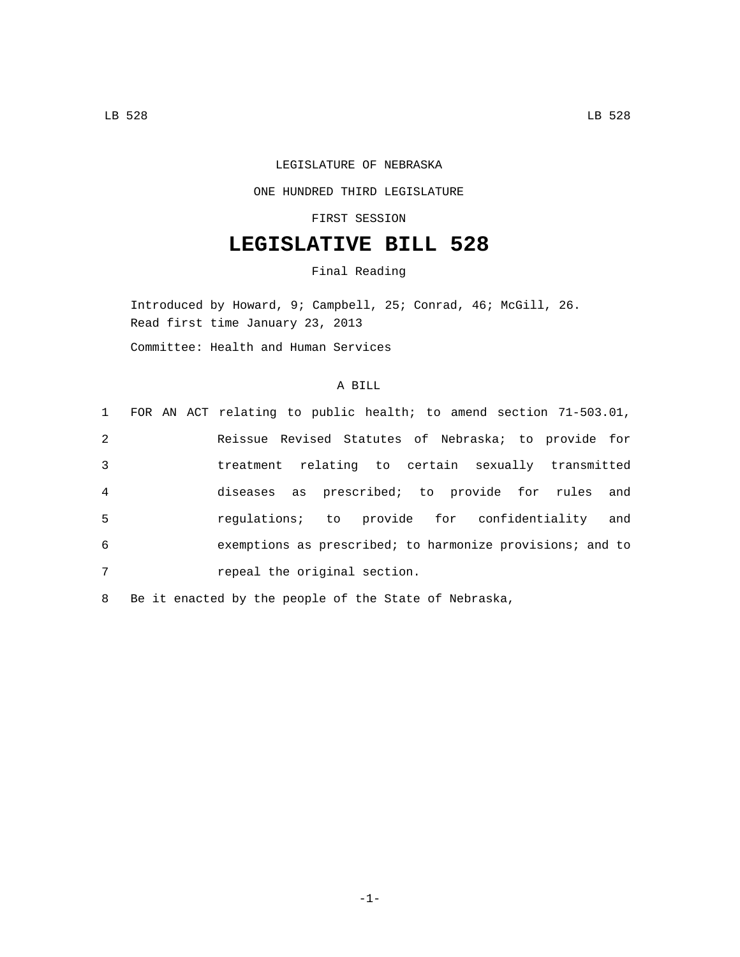## LEGISLATURE OF NEBRASKA

## ONE HUNDRED THIRD LEGISLATURE

FIRST SESSION

## **LEGISLATIVE BILL 528**

Final Reading

Introduced by Howard, 9; Campbell, 25; Conrad, 46; McGill, 26. Read first time January 23, 2013 Committee: Health and Human Services

## A BILL

|                |  | 1 FOR AN ACT relating to public health; to amend section 71-503.01, |
|----------------|--|---------------------------------------------------------------------|
| 2              |  | Reissue Revised Statutes of Nebraska; to provide for                |
| 3              |  | treatment relating to certain sexually transmitted                  |
| $\overline{4}$ |  | diseases as prescribed; to provide for rules and                    |
| 5              |  | regulations; to provide for confidentiality and                     |
| 6              |  | exemptions as prescribed; to harmonize provisions; and to           |
| 7              |  | repeal the original section.                                        |

8 Be it enacted by the people of the State of Nebraska,

-1-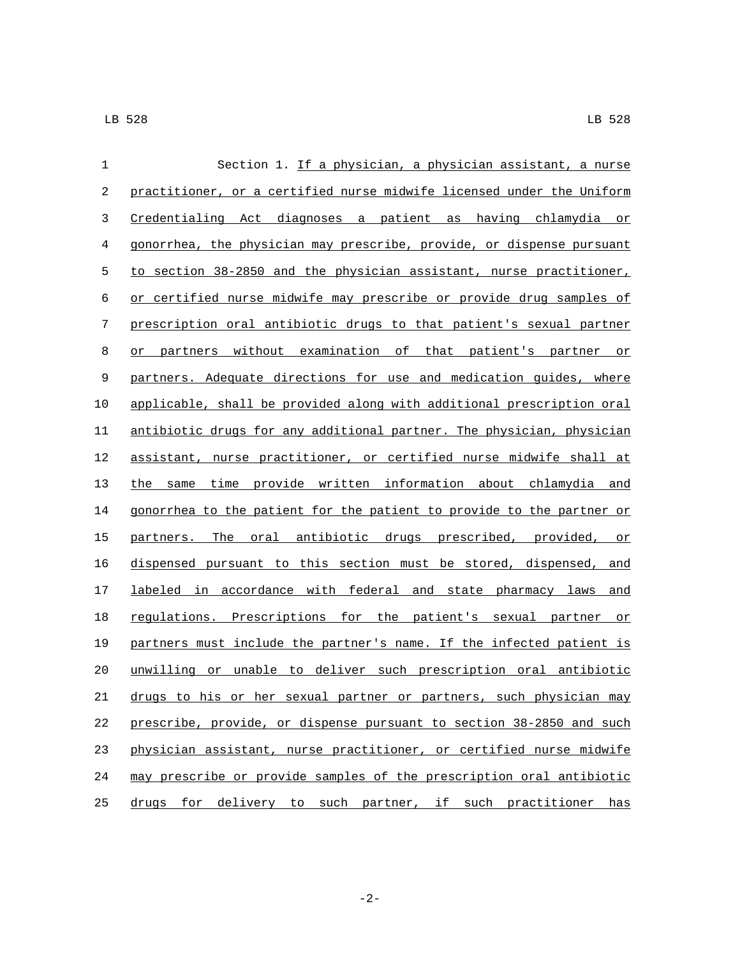| 1  | Section 1. If a physician, a physician assistant, a nurse             |
|----|-----------------------------------------------------------------------|
| 2  | practitioner, or a certified nurse midwife licensed under the Uniform |
| 3  | Credentialing Act diagnoses a patient as having chlamydia or          |
| 4  | gonorrhea, the physician may prescribe, provide, or dispense pursuant |
| 5  | to section 38-2850 and the physician assistant, nurse practitioner,   |
| 6  | or certified nurse midwife may prescribe or provide drug samples of   |
| 7  | prescription oral antibiotic drugs to that patient's sexual partner   |
| 8  | or partners without examination of that patient's partner or          |
| 9  | partners. Adequate directions for use and medication guides, where    |
| 10 | applicable, shall be provided along with additional prescription oral |
| 11 | antibiotic drugs for any additional partner. The physician, physician |
| 12 | assistant, nurse practitioner, or certified nurse midwife shall at    |
| 13 | the same time provide written information about chlamydia and         |
| 14 | gonorrhea to the patient for the patient to provide to the partner or |
| 15 | partners. The oral antibiotic drugs prescribed, provided,<br>or       |
| 16 | dispensed pursuant to this section must be stored, dispensed, and     |
| 17 | labeled in accordance with federal and state pharmacy laws<br>and     |
| 18 | regulations. Prescriptions for the patient's sexual partner<br>or     |
| 19 | partners must include the partner's name. If the infected patient is  |
| 20 | unwilling or unable to deliver such prescription oral antibiotic      |
| 21 | drugs to his or her sexual partner or partners, such physician may    |
| 22 | prescribe, provide, or dispense pursuant to section 38-2850 and such  |
| 23 | physician assistant, nurse practitioner, or certified nurse midwife   |
| 24 | may prescribe or provide samples of the prescription oral antibiotic  |
| 25 | drugs for delivery to such partner, if such practitioner has          |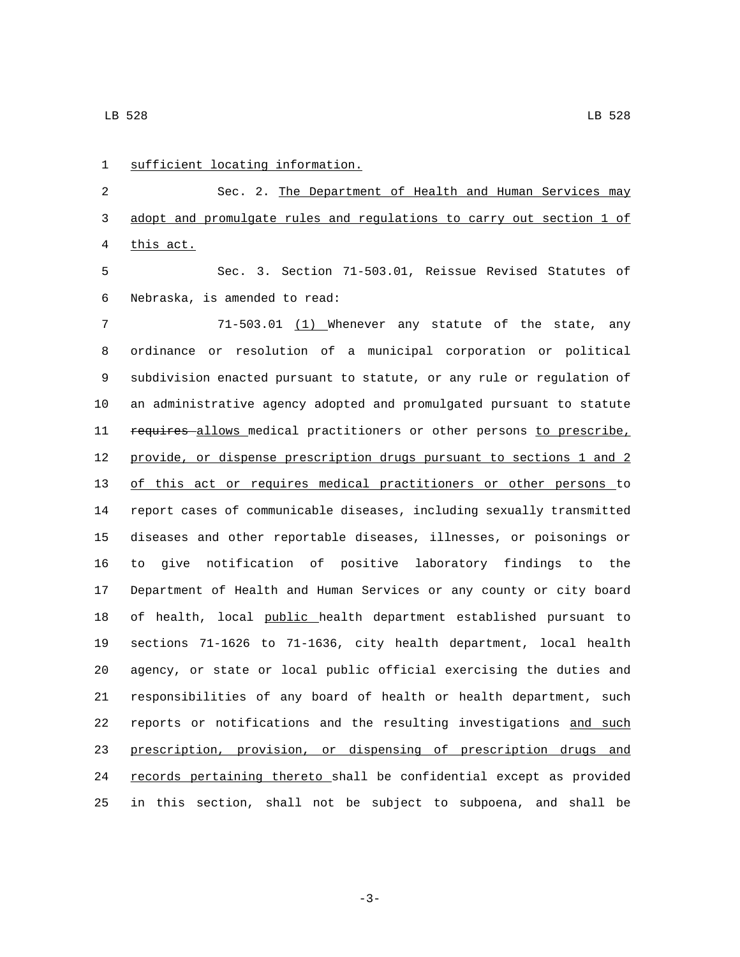1 sufficient locating information. Sec. 2. The Department of Health and Human Services may adopt and promulgate rules and regulations to carry out section 1 of 4 this act. Sec. 3. Section 71-503.01, Reissue Revised Statutes of 6 Nebraska, is amended to read: 71-503.01 (1) Whenever any statute of the state, any ordinance or resolution of a municipal corporation or political subdivision enacted pursuant to statute, or any rule or regulation of an administrative agency adopted and promulgated pursuant to statute 11 requires allows medical practitioners or other persons to prescribe, provide, or dispense prescription drugs pursuant to sections 1 and 2 of this act or requires medical practitioners or other persons to report cases of communicable diseases, including sexually transmitted diseases and other reportable diseases, illnesses, or poisonings or to give notification of positive laboratory findings to the Department of Health and Human Services or any county or city board 18 of health, local public health department established pursuant to sections 71-1626 to 71-1636, city health department, local health agency, or state or local public official exercising the duties and responsibilities of any board of health or health department, such 22 reports or notifications and the resulting investigations and such prescription, provision, or dispensing of prescription drugs and 24 records pertaining thereto shall be confidential except as provided in this section, shall not be subject to subpoena, and shall be

-3-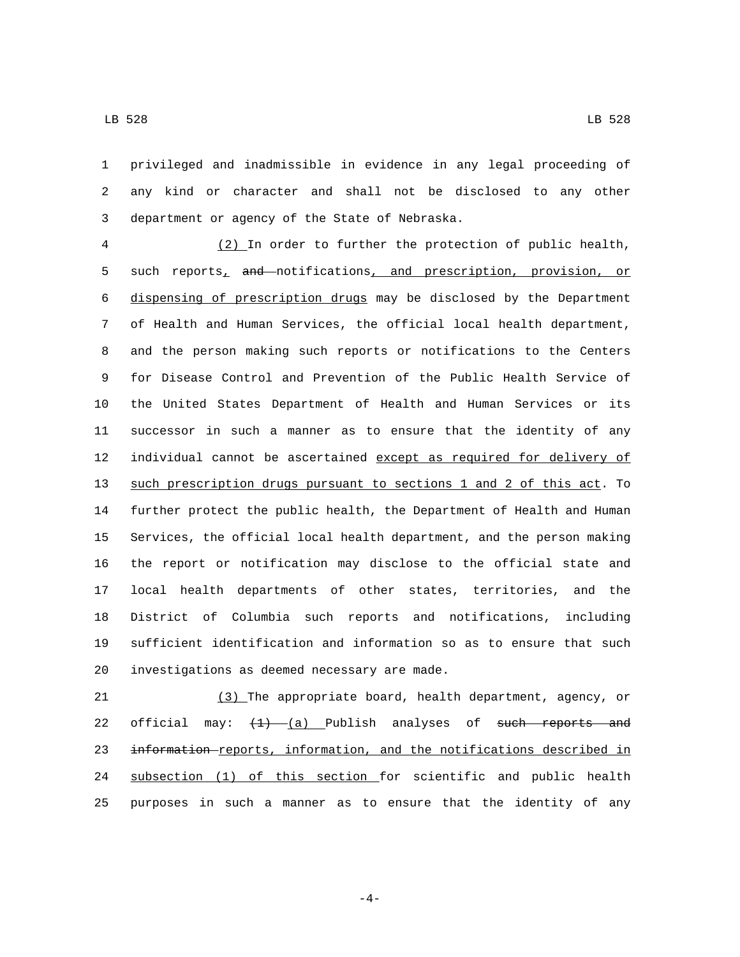privileged and inadmissible in evidence in any legal proceeding of any kind or character and shall not be disclosed to any other 3 department or agency of the State of Nebraska.

 (2) In order to further the protection of public health, 5 such reports<sub>1</sub> and notifications, and prescription, provision, or dispensing of prescription drugs may be disclosed by the Department of Health and Human Services, the official local health department, and the person making such reports or notifications to the Centers for Disease Control and Prevention of the Public Health Service of the United States Department of Health and Human Services or its successor in such a manner as to ensure that the identity of any 12 individual cannot be ascertained except as required for delivery of such prescription drugs pursuant to sections 1 and 2 of this act. To further protect the public health, the Department of Health and Human Services, the official local health department, and the person making the report or notification may disclose to the official state and local health departments of other states, territories, and the District of Columbia such reports and notifications, including sufficient identification and information so as to ensure that such 20 investigations as deemed necessary are made.

 (3) The appropriate board, health department, agency, or 22 official may:  $\left(\frac{1}{2}\right)$   $\left(\frac{1}{2}\right)$  Publish analyses of such reports and information reports, information, and the notifications described in subsection (1) of this section for scientific and public health purposes in such a manner as to ensure that the identity of any

-4-